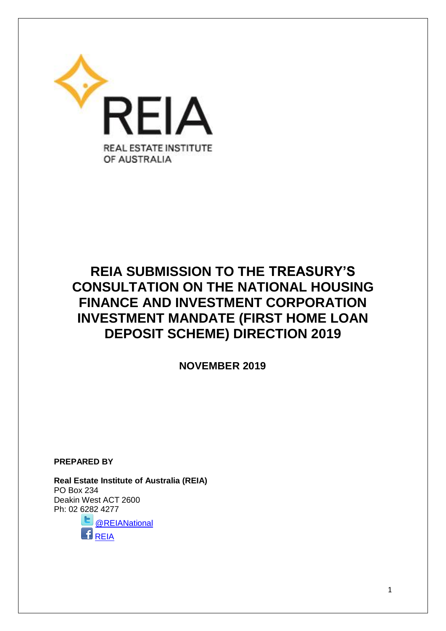

# **REIA SUBMISSION TO THE TREASURY'S CONSULTATION ON THE NATIONAL HOUSING FINANCE AND INVESTMENT CORPORATION INVESTMENT MANDATE (FIRST HOME LOAN DEPOSIT SCHEME) DIRECTION 2019**

 **NOVEMBER 2019**

**PREPARED BY**

**Real Estate Institute of Australia (REIA)**  PO Box 234 Deakin West ACT 2600 Ph: 02 6282 4277 [@REIANational](https://twitter.com/REIANational)

 $B$ [REIA](https://www.facebook.com/pages/Real-Estate-Institute-of-Australia-REIA/304742799577937?fref=ts)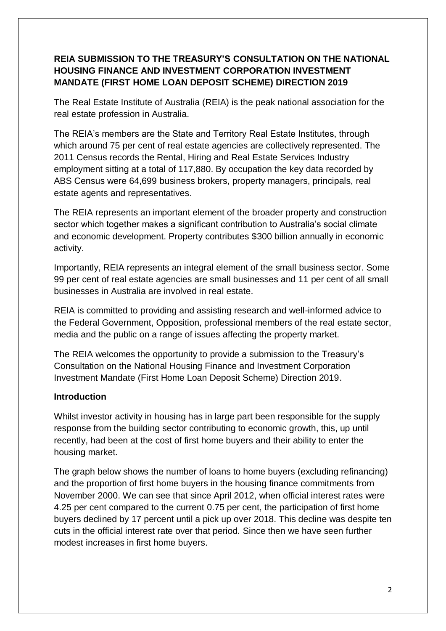## **REIA SUBMISSION TO THE TREASURY'S CONSULTATION ON THE NATIONAL HOUSING FINANCE AND INVESTMENT CORPORATION INVESTMENT MANDATE (FIRST HOME LOAN DEPOSIT SCHEME) DIRECTION 2019**

The Real Estate Institute of Australia (REIA) is the peak national association for the real estate profession in Australia.

The REIA's members are the State and Territory Real Estate Institutes, through which around 75 per cent of real estate agencies are collectively represented. The 2011 Census records the Rental, Hiring and Real Estate Services Industry employment sitting at a total of 117,880. By occupation the key data recorded by ABS Census were 64,699 business brokers, property managers, principals, real estate agents and representatives.

The REIA represents an important element of the broader property and construction sector which together makes a significant contribution to Australia's social climate and economic development. Property contributes \$300 billion annually in economic activity.

Importantly, REIA represents an integral element of the small business sector. Some 99 per cent of real estate agencies are small businesses and 11 per cent of all small businesses in Australia are involved in real estate.

REIA is committed to providing and assisting research and well-informed advice to the Federal Government, Opposition, professional members of the real estate sector, media and the public on a range of issues affecting the property market.

The REIA welcomes the opportunity to provide a submission to the Treasury's Consultation on the National Housing Finance and Investment Corporation Investment Mandate (First Home Loan Deposit Scheme) Direction 2019.

## **Introduction**

Whilst investor activity in housing has in large part been responsible for the supply response from the building sector contributing to economic growth, this, up until recently, had been at the cost of first home buyers and their ability to enter the housing market.

The graph below shows the number of loans to home buyers (excluding refinancing) and the proportion of first home buyers in the housing finance commitments from November 2000. We can see that since April 2012, when official interest rates were 4.25 per cent compared to the current 0.75 per cent, the participation of first home buyers declined by 17 percent until a pick up over 2018. This decline was despite ten cuts in the official interest rate over that period. Since then we have seen further modest increases in first home buyers.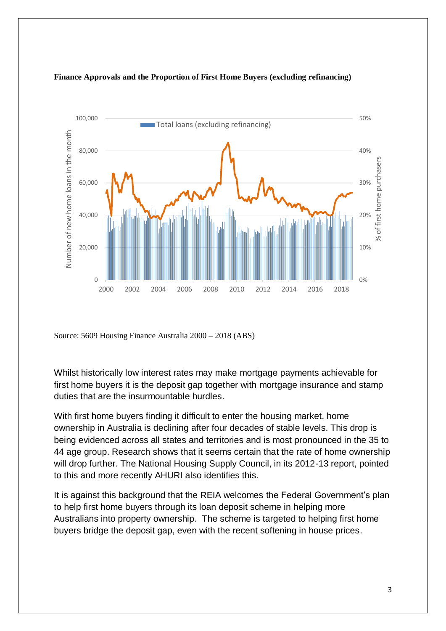

#### **Finance Approvals and the Proportion of First Home Buyers (excluding refinancing)**

Source: 5609 Housing Finance Australia 2000 – 2018 (ABS)

Whilst historically low interest rates may make mortgage payments achievable for first home buyers it is the deposit gap together with mortgage insurance and stamp duties that are the insurmountable hurdles.

With first home buyers finding it difficult to enter the housing market, home ownership in Australia is declining after four decades of stable levels. This drop is being evidenced across all states and territories and is most pronounced in the 35 to 44 age group. Research shows that it seems certain that the rate of home ownership will drop further. The National Housing Supply Council, in its 2012-13 report, pointed to this and more recently AHURI also identifies this.

It is against this background that the REIA welcomes the Federal Government's plan to help first home buyers through its loan deposit scheme in helping more Australians into property ownership. The scheme is targeted to helping first home buyers bridge the deposit gap, even with the recent softening in house prices.